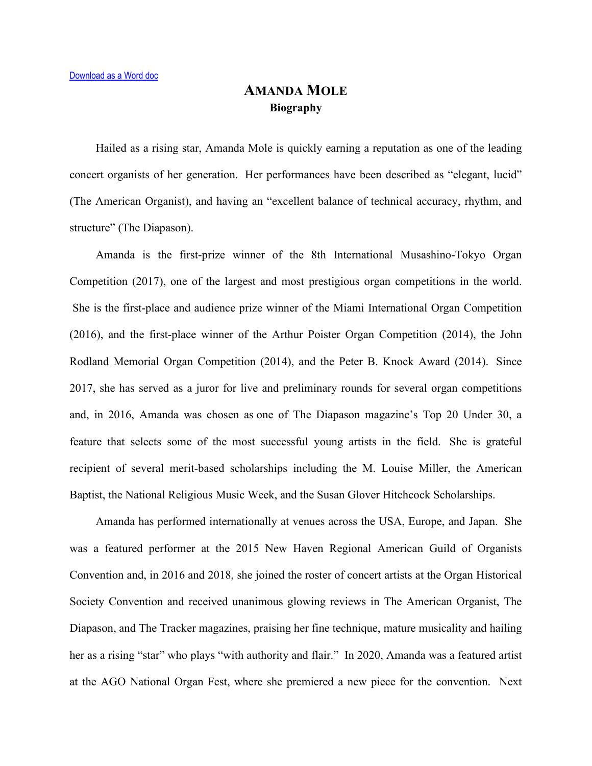## **AMANDA MOLE Biography**

Hailed as a rising star, Amanda Mole is quickly earning a reputation as one of the leading concert organists of her generation. Her performances have been described as "elegant, lucid" (The American Organist), and having an "excellent balance of technical accuracy, rhythm, and structure" (The Diapason).

Amanda is the first-prize winner of the 8th International Musashino-Tokyo Organ Competition (2017), one of the largest and most prestigious organ competitions in the world. She is the first-place and audience prize winner of the Miami International Organ Competition (2016), and the first-place winner of the Arthur Poister Organ Competition (2014), the John Rodland Memorial Organ Competition (2014), and the Peter B. Knock Award (2014). Since 2017, she has served as a juror for live and preliminary rounds for several organ competitions and, in 2016, Amanda was chosen as one of The Diapason magazine's Top 20 Under 30, a feature that selects some of the most successful young artists in the field. She is grateful recipient of several merit-based scholarships including the M. Louise Miller, the American Baptist, the National Religious Music Week, and the Susan Glover Hitchcock Scholarships.

Amanda has performed internationally at venues across the USA, Europe, and Japan. She was a featured performer at the 2015 New Haven Regional American Guild of Organists Convention and, in 2016 and 2018, she joined the roster of concert artists at the Organ Historical Society Convention and received unanimous glowing reviews in The American Organist, The Diapason, and The Tracker magazines, praising her fine technique, mature musicality and hailing her as a rising "star" who plays "with authority and flair." In 2020, Amanda was a featured artist at the AGO National Organ Fest, where she premiered a new piece for the convention. Next